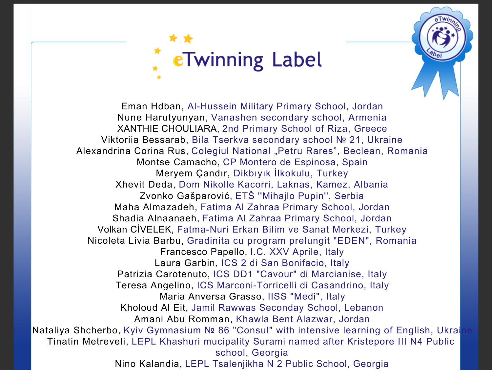

Eman Hdban, Al-Hussein Military Primary School, Jordan Nune Harutyunyan, Vanashen secondary school, Armenia XANTHIE CHOULIARA, 2nd Primary School of Riza, Greece Viktoriia Bessarab, Bila Tserkva secondary school № 21, Ukraine Alexandrina Corina Rus, Colegiul National "Petru Rares", Beclean, Romania Montse Camacho, CP Montero de Espinosa, Spain Meryem Çandır, Dikbıyık İlkokulu, Turkey Xhevit Deda, Dom Nikolle Kacorri, Laknas, Kamez, Albania Zvonko Gašparović, ETŠ ''Mihajlo Pupin'', Serbia Maha Almazadeh, Fatima Al Zahraa Primary School, Jordan Shadia Alnaanaeh, Fatima Al Zahraa Primary School, Jordan Volkan CİVELEK, Fatma-Nuri Erkan Bilim ve Sanat Merkezi, Turkey Nicoleta Livia Barbu, Gradinita cu program prelungit "EDEN", Romania Francesco Papello, I.C. XXV Aprile, Italy Laura Garbin, ICS 2 di San Bonifacio, Italy Patrizia Carotenuto, ICS DD1 "Cavour" di Marcianise, Italy Teresa Angelino, ICS Marconi-Torricelli di Casandrino, Italy Maria Anversa Grasso, IISS "Medi", Italy Kholoud Al Eit, Jamil Rawwas Seconday School, Lebanon Amani Abu Romman, Khawla Bent Alazwar, Jordan Nataliya Shcherbo, Kyiv Gymnasium № 86 "Consul" with intensive learning of English, Ukrai Tinatin Metreveli, LEPL Khashuri mucipality Surami named after Kristepore III N4 Public school, Georgia

Nino Kalandia, LEPL Tsalenjikha N 2 Public School, Georgia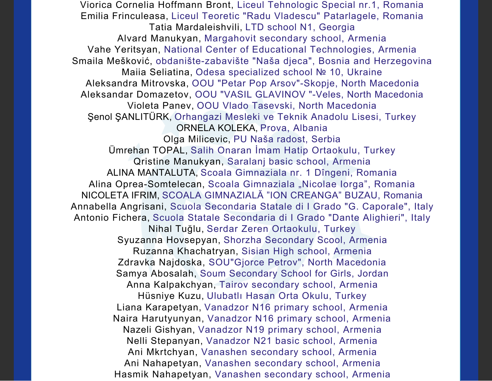Viorica Cornelia Hoffmann Bront, Liceul Tehnologic Special nr.1, Romania Emilia Frinculeasa, Liceul Teoretic "Radu Vladescu" Patarlagele, Romania Tatia Mardaleishvili, LTD school N1, Georgia Alvard Manukyan, Margahovit secondary school, Armenia Vahe Yeritsyan, National Center of Educational Technologies, Armenia Smaila Mešković, obdanište-zabavište "Naša djeca", Bosnia and Herzegovina Maiia Seliatina, Odesa specialized school № 10, Ukraine Aleksandra Mitrovska, OOU "Petar Pop Arsov"-Skopje, North Macedonia Aleksandar Domazetov, OOU "VASIL GLAVINOV "-Veles, North Macedonia Violeta Panev, OOU Vlado Tasevski, North Macedonia Şenol ŞANLITÜRK, Orhangazi Mesleki ve Teknik Anadolu Lisesi, Turkey ORNELA KOLEKA, Prova, Albania Olga Milicevic, PU Naša radost, Serbia Ümrehan TOPAL, Salih Onaran İmam Hatip Ortaokulu, Turkey Qristine Manukyan, Saralanj basic school, Armenia ALINA MANTALUTA, Scoala Gimnaziala nr. 1 Dîngeni, Romania Alina Oprea-Somtelecan, Scoala Gimnaziala "Nicolae Iorga", Romania NICOLETA IFRIM, SCOALA GIMNAZIALĂ "ION CREANGA" BUZAU, Romania Annabella Angrisani, Scuola Secondaria Statale di I Grado "G. Caporale", Italy Antonio Fichera, Scuola Statale Secondaria di I Grado "Dante Alighieri", Italy Nihal Tuğlu, Serdar Zeren Ortaokulu, Turkey Syuzanna Hovsepyan, Shorzha Secondary Scool, Armenia Ruzanna Khachatryan, Sisian High school, Armenia Zdravka Najdoska, SOU"Gjorce Petrov", North Macedonia Samya Abosalah, Soum Secondary School for Girls, Jordan Anna Kalpakchyan, Tairov secondary school, Armenia Hüsniye Kuzu, Ulubatlı Hasan Orta Okulu, Turkey Liana Karapetyan, Vanadzor N16 primary school, Armenia Naira Harutyunyan, Vanadzor N16 primary school, Armenia Nazeli Gishyan, Vanadzor N19 primary school, Armenia Nelli Stepanyan, Vanadzor N21 basic school, Armenia Ani Mkrtchyan, Vanashen secondary school, Armenia Ani Nahapetyan, Vanashen secondary school, Armenia Hasmik Nahapetyan, Vanashen secondary school, Armenia